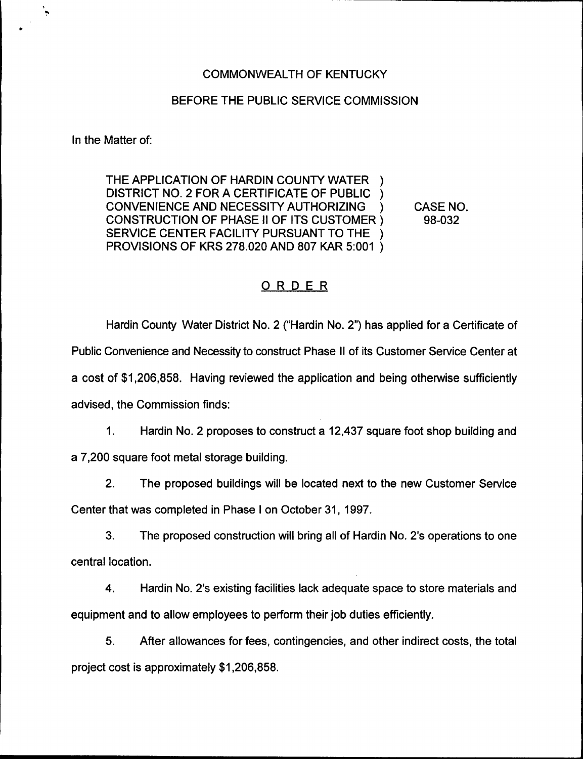## COMMONWEALTH OF KENTUCKY

## BEFORE THE PUBLIC SERVICE COMMISSION

In the Matter of:

THE APPLICATION OF HARDIN COUNTY WATER DISTRICT NO. 2 FOR A CERTIFICATE OF PUBLIC ) CONVENIENCE AND NECESSITY AUTHORIZING ) CONSTRUCTION OF PHASE II OF ITS CUSTOMER ) SERVICE CENTER FACILITY PURSUANT TO THE PROVISIONS OF KRS 278.020 AND 807 KAR 5:001 )

CASE NO. 98-032

## ORDER

Hardin County Water District No. 2 ("Hardin No. 2") has applied for a Certificate of Public Convenience and Necessity to construct Phase II of its Customer Service Center at a cost of \$1,206,858. Having reviewed the application and being otherwise sufficiently advised, the Commission finds:

1. Hardin No. 2 proposes to construct a 12,437 square foot shop building and

a 7,200 square foot metal storage building.

2. The proposed buildings will be located next to the new Customer Service

Center that was completed in Phase <sup>I</sup> on October 31, 1997.

3. The proposed construction will bring all of Hardin No. 2's operations to one central location.

4. Hardin No. 2's existing facilities lack adequate space to store materials and equipment and to allow employees to perform their job duties efficiently.

5. After allowances for fees, contingencies, and other indirect costs, the total project cost is approximately \$1,206,858.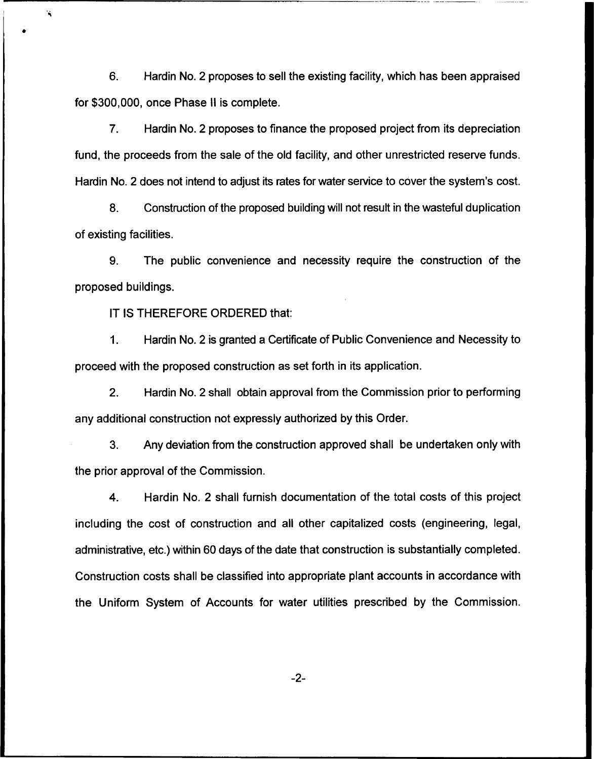6. Hardin No. 2 proposes to sell the existing facility, which has been appraised for \$300,000, once Phase II is complete.

7. Hardin No. 2 proposes to finance the proposed project from its depreciation fund, the proceeds from the sale of the old facility, and other unrestricted reserve funds. Hardin No. 2 does not intend to adjust its rates for water service to cover the system's cost.

8. Construction of the proposed building will not result in the wasteful duplication of existing facilities.

9. The public convenience and necessity require the construction of the proposed buildings.

IT IS THEREFORE ORDERED that:

À

Hardin No. 2 is granted a Certificate of Public Convenience and Necessity to  $\mathbf{1}$ . proceed with the proposed construction as set forth in its application.

2. Hardin No. 2 shall obtain approval from the Commission prior to performing any additional construction not expressly authorized by this Order.

3. Any deviation from the construction approved shall be undertaken only with the prior approval of the Commission.

4. Mardin No. 2 shall furnish documentation of the total costs of this project including the cost of construction and all other capitalized costs (engineering, legal, administrative, etc.) within 60 days of the date that construction is substantially completed. Construction costs shall be classified into appropriate plant accounts in accordance with the Uniform System of Accounts for water utilities prescribed by the Commission.

 $-2-$